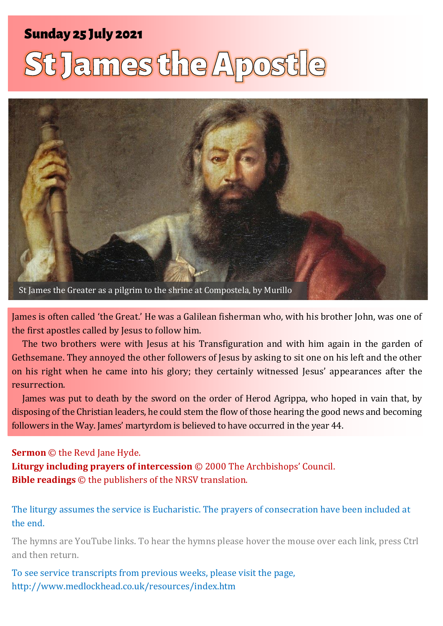# **Sunday 25 July 2021**

# St James the Apost



James is often called 'the Great.' He was a Galilean fisherman who, with his brother John, was one of the first apostles called by Jesus to follow him.

The two brothers were with Jesus at his Transfiguration and with him again in the garden of Gethsemane. They annoyed the other followers of Jesus by asking to sit one on his left and the other on his right when he came into his glory; they certainly witnessed Jesus' appearances after the resurrection.

James was put to death by the sword on the order of Herod Agrippa, who hoped in vain that, by disposing of the Christian leaders, he could stem the flow of those hearing the good news and becoming followers in the Way. James' martyrdom is believed to have occurred in the year 44.

#### **Sermon** © the Revd Jane Hyde.

**Liturgy including prayers of intercession** © 2000 The Archbishops' Council. **Bible readings** © the publishers of the NRSV translation.

The liturgy assumes the service is Eucharistic. The prayers of consecration have been included at the end.

The hymns are YouTube links. To hear the hymns please hover the mouse over each link, press Ctrl and then return.

To see service transcripts from previous weeks, please visit the page, <http://www.medlockhead.co.uk/resources/index.htm>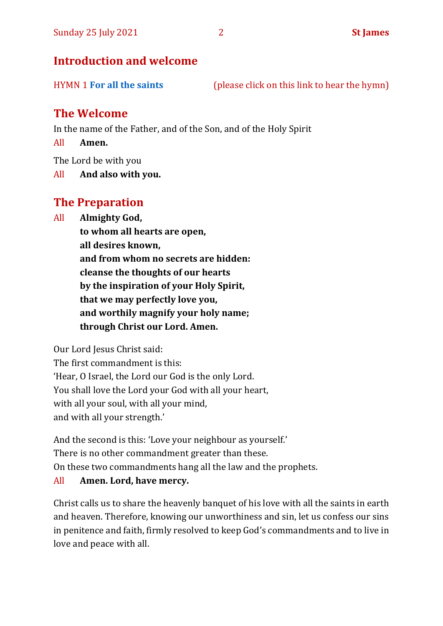## **Introduction and welcome**

HYMN 1 **[For all the saints](https://www.youtube.com/watch?v=WbPshOGxpew)** (please click on this link to hear the hymn)

# **The Welcome**

In the name of the Father, and of the Son, and of the Holy Spirit

All **Amen.**

The Lord be with you

All **And also with you.**

# **The Preparation**

All **Almighty God,**

**to whom all hearts are open, all desires known, and from whom no secrets are hidden: cleanse the thoughts of our hearts by the inspiration of your Holy Spirit, that we may perfectly love you, and worthily magnify your holy name; through Christ our Lord. Amen.**

Our Lord Jesus Christ said:

The first commandment is this: 'Hear, O Israel, the Lord our God is the only Lord. You shall love the Lord your God with all your heart, with all your soul, with all your mind, and with all your strength.'

And the second is this: 'Love your neighbour as yourself.' There is no other commandment greater than these. On these two commandments hang all the law and the prophets.

#### All **Amen. Lord, have mercy.**

Christ calls us to share the heavenly banquet of his love with all the saints in earth and heaven. Therefore, knowing our unworthiness and sin, let us confess our sins in penitence and faith, firmly resolved to keep God's commandments and to live in love and peace with all.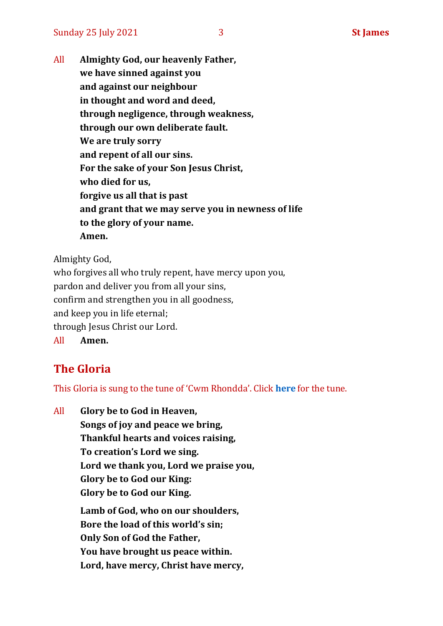All **Almighty God, our heavenly Father, we have sinned against you and against our neighbour in thought and word and deed, through negligence, through weakness, through our own deliberate fault. We are truly sorry and repent of all our sins. For the sake of your Son Jesus Christ, who died for us, forgive us all that is past and grant that we may serve you in newness of life to the glory of your name. Amen.**

Almighty God,

who forgives all who truly repent, have mercy upon you, pardon and deliver you from all your sins, confirm and strengthen you in all goodness, and keep you in life eternal; through Jesus Christ our Lord. All **Amen.**

# **The Gloria**

This Gloria is sung to the tune of 'Cwm Rhondda'. Click **[here](https://www.youtube.com/watch?v=l71MLQ22dIk)** for the tune.

All **Glory be to God in Heaven, Songs of joy and peace we bring, Thankful hearts and voices raising, To creation's Lord we sing. Lord we thank you, Lord we praise you, Glory be to God our King: Glory be to God our King. Lamb of God, who on our shoulders, Bore the load of this world's sin; Only Son of God the Father, You have brought us peace within. Lord, have mercy, Christ have mercy,**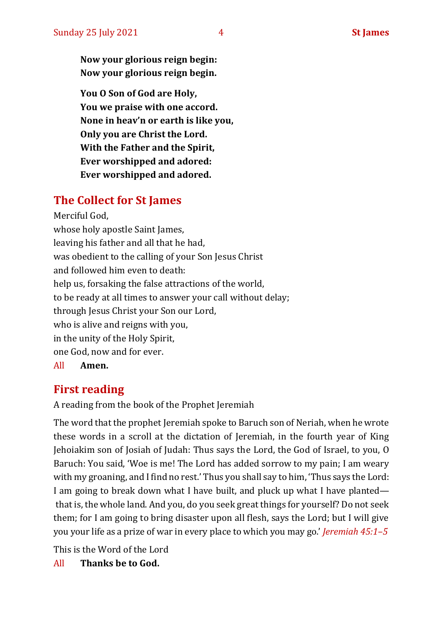**Now your glorious reign begin: Now your glorious reign begin.**

**You O Son of God are Holy, You we praise with one accord. None in heav'n or earth is like you, Only you are Christ the Lord. With the Father and the Spirit, Ever worshipped and adored: Ever worshipped and adored.**

# **The Collect for St James**

Merciful God, whose holy apostle Saint James, leaving his father and all that he had, was obedient to the calling of your Son Jesus Christ and followed him even to death: help us, forsaking the false attractions of the world, to be ready at all times to answer your call without delay; through Jesus Christ your Son our Lord, who is alive and reigns with you, in the unity of the Holy Spirit, one God, now and for ever. All **Amen.**

# **First reading**

A reading from the book of the Prophet Jeremiah

The word that the prophet Jeremiah spoke to Baruch son of Neriah, when he wrote these words in a scroll at the dictation of Jeremiah, in the fourth year of King Jehoiakim son of Josiah of Judah: Thus says the Lord, the God of Israel, to you, O Baruch: You said, 'Woe is me! The Lord has added sorrow to my pain; I am weary with my groaning, and I find no rest.' Thus you shall say to him, 'Thus says the Lord: I am going to break down what I have built, and pluck up what I have planted that is, the whole land. And you, do you seek great things for yourself? Do not seek them; for I am going to bring disaster upon all flesh, says the Lord; but I will give you your life as a prize of war in every place to which you may go.' *Jeremiah 45:1–5*

This is the Word of the Lord

All **Thanks be to God.**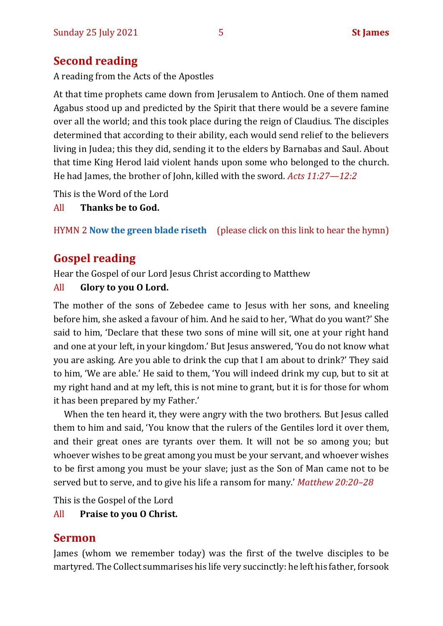# **Second reading**

A reading from the Acts of the Apostles

At that time prophets came down from Jerusalem to Antioch. One of them named Agabus stood up and predicted by the Spirit that there would be a severe famine over all the world; and this took place during the reign of Claudius. The disciples determined that according to their ability, each would send relief to the believers living in Judea; this they did, sending it to the elders by Barnabas and Saul. About that time King Herod laid violent hands upon some who belonged to the church. He had James, the brother of John, killed with the sword. *Acts 11:27—12:2*

This is the Word of the Lord

All **Thanks be to God.**

HYMN 2 **[Now the green blade riseth](https://youtu.be/UVduV0ustWw)** (please click on this link to hear the hymn)

# **Gospel reading**

Hear the Gospel of our Lord Jesus Christ according to Matthew

#### All **Glory to you O Lord.**

The mother of the sons of Zebedee came to Jesus with her sons, and kneeling before him, she asked a favour of him. And he said to her, 'What do you want?' She said to him, 'Declare that these two sons of mine will sit, one at your right hand and one at your left, in your kingdom.' But Jesus answered, 'You do not know what you are asking. Are you able to drink the cup that I am about to drink?' They said to him, 'We are able.' He said to them, 'You will indeed drink my cup, but to sit at my right hand and at my left, this is not mine to grant, but it is for those for whom it has been prepared by my Father.'

When the ten heard it, they were angry with the two brothers. But Jesus called them to him and said, 'You know that the rulers of the Gentiles lord it over them, and their great ones are tyrants over them. It will not be so among you; but whoever wishes to be great among you must be your servant, and whoever wishes to be first among you must be your slave; just as the Son of Man came not to be served but to serve, and to give his life a ransom for many.' *Matthew 20:20–28*

This is the Gospel of the Lord

#### All **Praise to you O Christ.**

## **Sermon**

James (whom we remember today) was the first of the twelve disciples to be martyred. The Collect summarises his life very succinctly: he left his father, forsook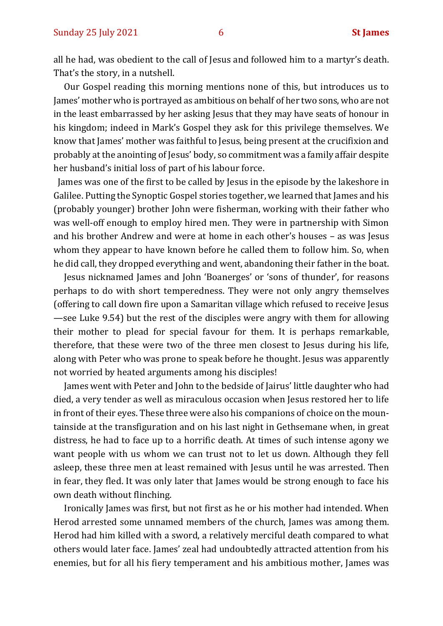all he had, was obedient to the call of Jesus and followed him to a martyr's death. That's the story, in a nutshell.

Our Gospel reading this morning mentions none of this, but introduces us to James' mother who is portrayed as ambitious on behalf of her two sons, who are not in the least embarrassed by her asking Jesus that they may have seats of honour in his kingdom; indeed in Mark's Gospel they ask for this privilege themselves. We know that James' mother was faithful to Jesus, being present at the crucifixion and probably at the anointing of Jesus' body, so commitment was a family affair despite her husband's initial loss of part of his labour force.

 James was one of the first to be called by Jesus in the episode by the lakeshore in Galilee. Putting the Synoptic Gospel stories together, we learned that James and his (probably younger) brother John were fisherman, working with their father who was well-off enough to employ hired men. They were in partnership with Simon and his brother Andrew and were at home in each other's houses – as was Jesus whom they appear to have known before he called them to follow him. So, when he did call, they dropped everything and went, abandoning their father in the boat.

Jesus nicknamed James and John 'Boanerges' or 'sons of thunder', for reasons perhaps to do with short temperedness. They were not only angry themselves (offering to call down fire upon a Samaritan village which refused to receive Jesus —see Luke 9.54) but the rest of the disciples were angry with them for allowing their mother to plead for special favour for them. It is perhaps remarkable, therefore, that these were two of the three men closest to Jesus during his life, along with Peter who was prone to speak before he thought. Jesus was apparently not worried by heated arguments among his disciples!

James went with Peter and John to the bedside of Jairus' little daughter who had died, a very tender as well as miraculous occasion when Jesus restored her to life in front of their eyes. These three were also his companions of choice on the mountainside at the transfiguration and on his last night in Gethsemane when, in great distress, he had to face up to a horrific death. At times of such intense agony we want people with us whom we can trust not to let us down. Although they fell asleep, these three men at least remained with Jesus until he was arrested. Then in fear, they fled. It was only later that James would be strong enough to face his own death without flinching.

Ironically James was first, but not first as he or his mother had intended. When Herod arrested some unnamed members of the church, James was among them. Herod had him killed with a sword, a relatively merciful death compared to what others would later face. James' zeal had undoubtedly attracted attention from his enemies, but for all his fiery temperament and his ambitious mother, James was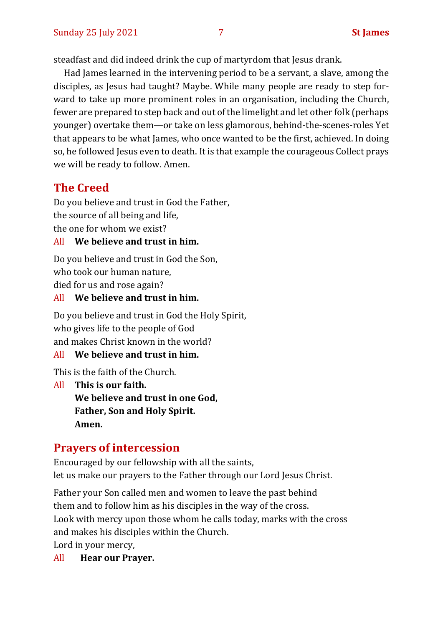steadfast and did indeed drink the cup of martyrdom that Jesus drank.

Had James learned in the intervening period to be a servant, a slave, among the disciples, as Jesus had taught? Maybe. While many people are ready to step forward to take up more prominent roles in an organisation, including the Church, fewer are prepared to step back and out of the limelight and let other folk (perhaps younger) overtake them—or take on less glamorous, behind-the-scenes-roles Yet that appears to be what James, who once wanted to be the first, achieved. In doing so, he followed Jesus even to death. It is that example the courageous Collect prays we will be ready to follow. Amen.

# **The Creed**

Do you believe and trust in God the Father, the source of all being and life, the one for whom we exist?

#### All **We believe and trust in him.**

Do you believe and trust in God the Son, who took our human nature, died for us and rose again?

#### All **We believe and trust in him.**

Do you believe and trust in God the Holy Spirit, who gives life to the people of God and makes Christ known in the world?

#### All **We believe and trust in him.**

This is the faith of the Church.

All **This is our faith. We believe and trust in one God, Father, Son and Holy Spirit. Amen.**

## **Prayers of intercession**

Encouraged by our fellowship with all the saints, let us make our prayers to the Father through our Lord Jesus Christ.

Father your Son called men and women to leave the past behind them and to follow him as his disciples in the way of the cross. Look with mercy upon those whom he calls today, marks with the cross and makes his disciples within the Church. Lord in your mercy,

All **Hear our Prayer.**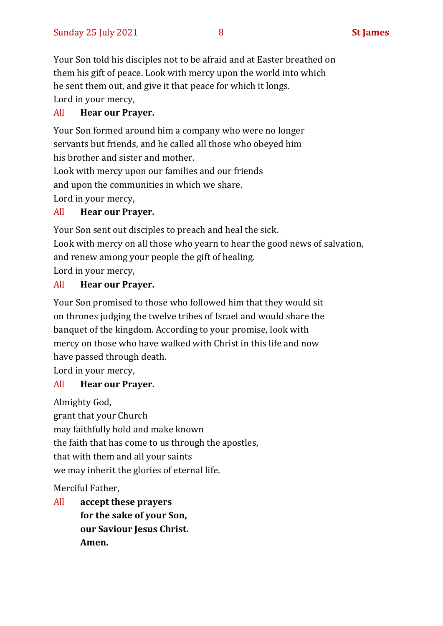Your Son told his disciples not to be afraid and at Easter breathed on them his gift of peace. Look with mercy upon the world into which he sent them out, and give it that peace for which it longs. Lord in your mercy,

#### All **Hear our Prayer.**

Your Son formed around him a company who were no longer servants but friends, and he called all those who obeyed him his brother and sister and mother.

Look with mercy upon our families and our friends and upon the communities in which we share.

Lord in your mercy,

#### All **Hear our Prayer.**

Your Son sent out disciples to preach and heal the sick.

Look with mercy on all those who yearn to hear the good news of salvation, and renew among your people the gift of healing.

Lord in your mercy,

#### All **Hear our Prayer.**

Your Son promised to those who followed him that they would sit on thrones judging the twelve tribes of Israel and would share the banquet of the kingdom. According to your promise, look with mercy on those who have walked with Christ in this life and now have passed through death.

Lord in your mercy,

#### All **Hear our Prayer.**

Almighty God,

grant that your Church may faithfully hold and make known the faith that has come to us through the apostles, that with them and all your saints we may inherit the glories of eternal life.

Merciful Father,

All **accept these prayers for the sake of your Son, our Saviour Jesus Christ. Amen.**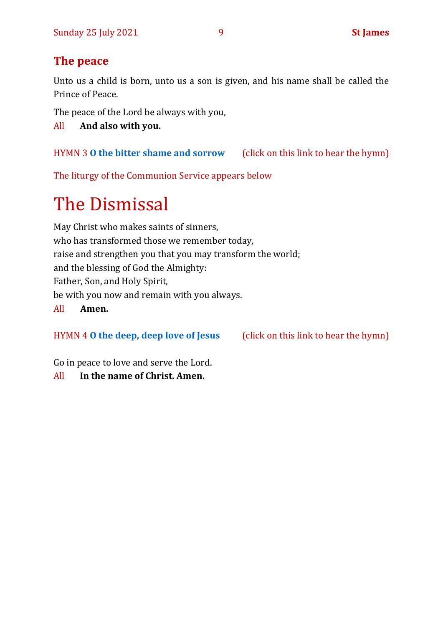# **The peace**

Unto us a child is born, unto us a son is given, and his name shall be called the Prince of Peace.

The peace of the Lord be always with you,

All **And also with you.**

HYMN 3 **[O the bitter shame and sorrow](https://www.youtube.com/watch?v=vJbzqbiZ7JA)** (click on this link to hear the hymn)

The liturgy of the Communion Service appears below

# The Dismissal

May Christ who makes saints of sinners, who has transformed those we remember today, raise and strengthen you that you may transform the world; and the blessing of God the Almighty: Father, Son, and Holy Spirit, be with you now and remain with you always. All **Amen.**

HYMN 4 **[O the deep, deep love of Jesus](https://www.youtube.com/watch?v=7huFaZ3tjpg)** (click on this link to hear the hymn)

Go in peace to love and serve the Lord.

All **In the name of Christ. Amen.**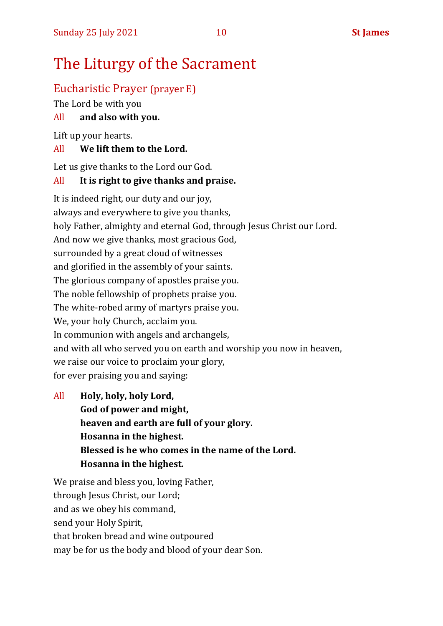# The Liturgy of the Sacrament

# Eucharistic Prayer (prayer E)

The Lord be with you

## All **and also with you.**

Lift up your hearts.

#### All **We lift them to the Lord.**

Let us give thanks to the Lord our God.

#### All **It is right to give thanks and praise.**

It is indeed right, our duty and our joy, always and everywhere to give you thanks, holy Father, almighty and eternal God, through Jesus Christ our Lord. And now we give thanks, most gracious God, surrounded by a great cloud of witnesses and glorified in the assembly of your saints. The glorious company of apostles praise you. The noble fellowship of prophets praise you. The white-robed army of martyrs praise you. We, your holy Church, acclaim you. In communion with angels and archangels, and with all who served you on earth and worship you now in heaven, we raise our voice to proclaim your glory, for ever praising you and saying:

All **Holy, holy, holy Lord, God of power and might, heaven and earth are full of your glory. Hosanna in the highest. Blessed is he who comes in the name of the Lord. Hosanna in the highest.**

We praise and bless you, loving Father, through Jesus Christ, our Lord; and as we obey his command, send your Holy Spirit, that broken bread and wine outpoured may be for us the body and blood of your dear Son.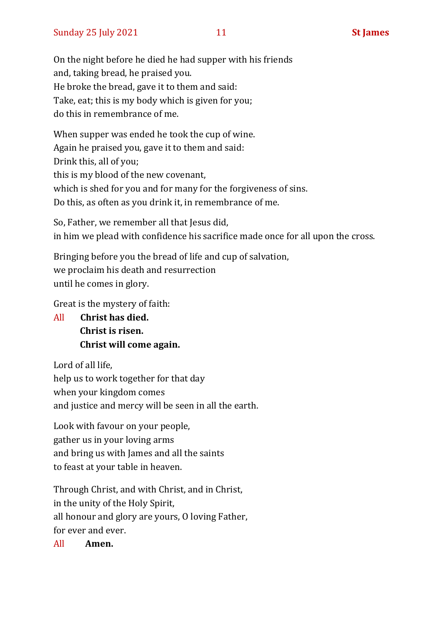On the night before he died he had supper with his friends and, taking bread, he praised you. He broke the bread, gave it to them and said: Take, eat; this is my body which is given for you; do this in remembrance of me.

When supper was ended he took the cup of wine. Again he praised you, gave it to them and said: Drink this, all of you; this is my blood of the new covenant, which is shed for you and for many for the forgiveness of sins. Do this, as often as you drink it, in remembrance of me.

So, Father, we remember all that Jesus did, in him we plead with confidence his sacrifice made once for all upon the cross.

Bringing before you the bread of life and cup of salvation, we proclaim his death and resurrection until he comes in glory.

Great is the mystery of faith:

All **Christ has died. Christ is risen. Christ will come again.**

Lord of all life, help us to work together for that day when your kingdom comes and justice and mercy will be seen in all the earth.

Look with favour on your people, gather us in your loving arms and bring us with James and all the saints to feast at your table in heaven.

Through Christ, and with Christ, and in Christ, in the unity of the Holy Spirit, all honour and glory are yours, O loving Father, for ever and ever.

All **Amen.**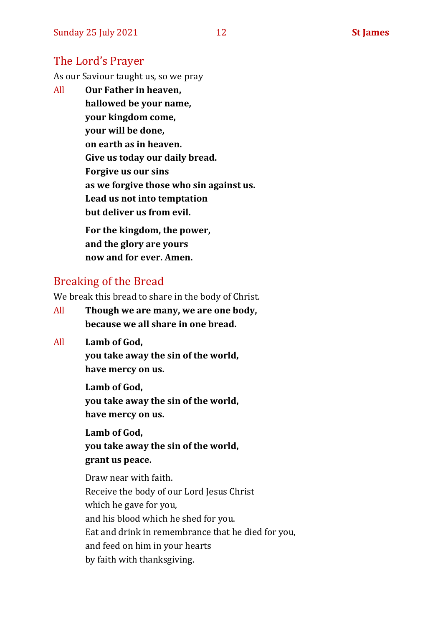## The Lord's Prayer

As our Saviour taught us, so we pray

All **Our Father in heaven, hallowed be your name, your kingdom come, your will be done, on earth as in heaven. Give us today our daily bread. Forgive us our sins as we forgive those who sin against us. Lead us not into temptation but deliver us from evil. For the kingdom, the power,** 

**and the glory are yours now and for ever. Amen.**

# Breaking of the Bread

We break this bread to share in the body of Christ.

- All **Though we are many, we are one body, because we all share in one bread.**
- All **Lamb of God,**

**you take away the sin of the world, have mercy on us.**

**Lamb of God, you take away the sin of the world, have mercy on us.**

**Lamb of God, you take away the sin of the world, grant us peace.**

Draw near with faith. Receive the body of our Lord Jesus Christ which he gave for you, and his blood which he shed for you. Eat and drink in remembrance that he died for you, and feed on him in your hearts by faith with thanksgiving.